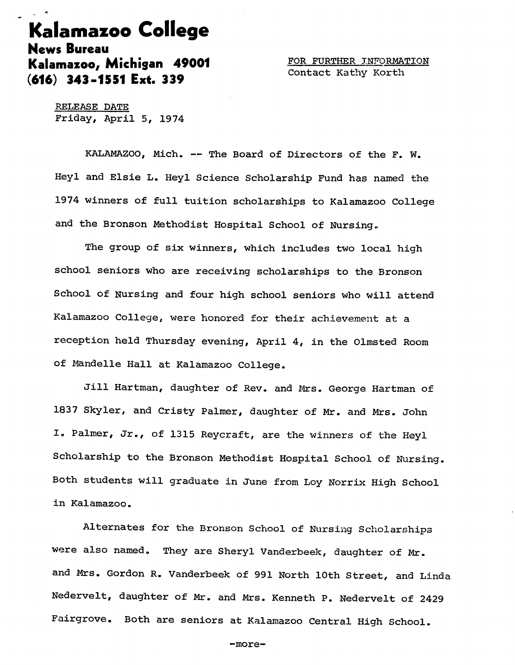## Kalamazoo College News Bureau Kalamazoo, Michigan 49001 FOR FURTHER INFORMATION (616) 343-1551 Ext. 339

RELEASE DATE Friday, April 5, 1974

KALAMAZOO, Mich. — The Board of Directors of the F, W. Heyl and Elsie L. Heyl Science Scholarship Fund has named the 1974 winners of full tuition scholarships to Kalamazoo College and the Bronson Methodist Hospital School of Nursing.

The group of six winners, which includes two local high school seniors who are receiving scholarships to the Bronson School of Nursing and four high school seniors who will attend Kalamazoo College, were honored for their achievement at a reception held Thursday evening, April 4, in the Olmsted Room of Mandelle Hall at Kalamazoo College.

Jill Hartman, daughter of Rev. and Mrs. George Hartman of 1837 Skyler, and Cristy Palmer, daughter of Mr. and Mrs. John I. Palmer, Jr., of 1315 Reycraft, are the winners of the Heyl Scholarship to the Bronson Methodist Hospital School of Nursing. Both students will graduate in June from Loy Norrix High School in Kalamazoo.

Alternates for the Bronson School of Nursing Scholarships were also named. They are Sheryl Vanderbeek, daughter of Mr. and Mrs. Gordon R. Vanderbeek of 991 North 10th Street, and Linda Nedervelt, daughter of Mr. and Mrs, Kenneth P. Nedervelt of 2429 Fairgrove. Both are seniors at Kalamazoo Central High School.

-more-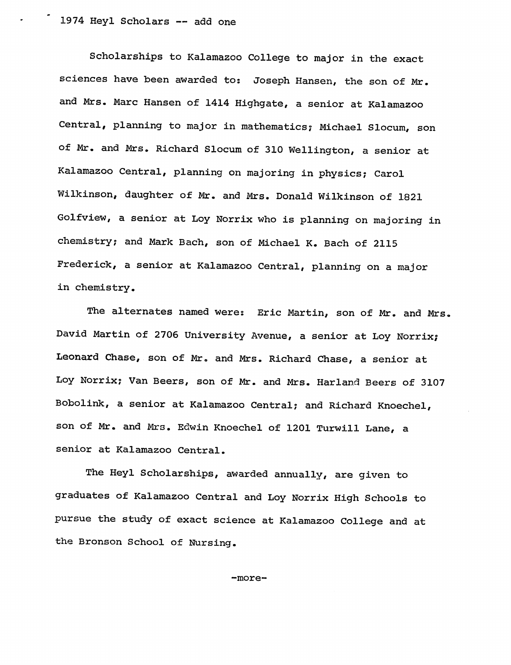Scholarships to Kalamazoo College to major in the exact sciences have been awarded to: Joseph Hansen, the son of Mr. and Mrs. Marc Hansen of 1414 Highgate, a senior at Kalamazoo Central, planning to major in mathematics; Michael Slocum, son of Mr. and Mrs. Richard Slocum of 310 Wellington, a senior at Kalamazoo Central, planning on majoring in physics; Carol Wilkinson, daughter of Mr. and Mrs. Donald Wilkinson of 1821 Golfview, a senior at Loy Norrix who is planning on majoring in chemistry; and Mark Bach, son of Michael K. Bach of 2115 Frederick, a senior at Kalamazoo Central, planning on a major in chemistry.

The alternates named were: Eric Martin, son of Mr. and Mrs. David Martin of 2706 University Avenue, a senior at Loy Norrix; Leonard Chase, son of Mr. and Mrs. Richard Chase, a senior at Loy Norrix; Van Beers, son of Mr. and Mrs. Harland Beers of 3107 Bobolink, a senior at Kalamazoo Central; and Richard Knoechel, son of Mr. and Mrs. Edwin Knoechel of 1201 Turwill Lane, a senior at Kalamazoo Central.

The Heyl Scholarships, awarded annually, are given to graduates of Kalamazoo Central and Loy Norrix High Schools to pursue the study of exact science at Kalamazoo College and at the Bronson School of Nursing.

-more-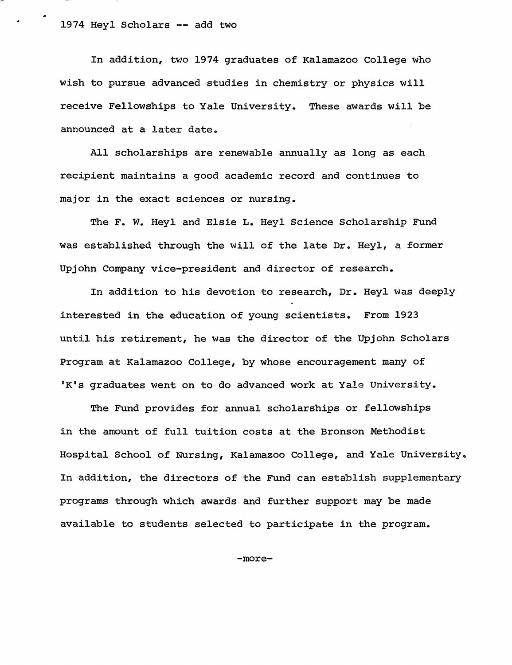In addition, two 1974 graduates of Kalamazoo College who wish to pursue advanced studies in chemistry or physics will receive Fellowships to Yale University. These awards will be announced at a later date.

All scholarships are renewable annually as long as each recipient maintains a good academic record and continues to major in the exact sciences or nursing.

The F. W. Heyl and Elsie L. Heyl Science Scholarship Fund was established through the will of the late Dr. Heyl, a former Upjohn Company vice-president and director of research.

In addition to his devotion to research, Dr. Heyl was deeply interested in the education of young scientists. From 1923 until his retirement, he was the director of the Upjohn Scholars Program at Kalamazoo College, by whose encouragement many of 'K's graduates went on to do advanced work at Yale University.

The Fund provides for annual scholarships or fellowships in the amount of full tuition costs at the Bronson Methodist Hospital School of Nursing, Kalamazoo College, and Yale University. In addition, the directors of the Fund can establish supplementary programs through which awards and further support may be made available to students selected to participate in the program.

-more-